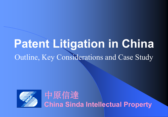# **Patent Litigation in China** Outline, Key Considerations and Case Study



中原信達 **China Sinda Intellectual Property**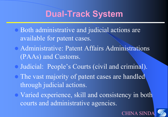## **Dual-Track System**

- Both administrative and judicial actions are available for patent cases.
- Administrative: Patent Affairs Administrations (PAAs) and Customs.
- Judicial: People's Courts (civil and criminal).
- The vast majority of patent cases are handled through judicial actions.
- Varied experience, skill and consistency in both courts and administrative agencies.

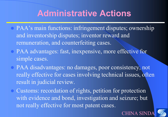## **Administrative Actions**

- PAA's main functions: infringement disputes; ownership and inventorship disputes; inventor reward and remuneration, and counterfeiting cases.
- PAA advantages: fast, inexpensive, more effective for simple cases.
- PAA disadvantages: no damages, poor consistency, not really effective for cases involving technical issues, often result in judicial review.
- Customs: recordation of rights, petition for protection with evidence and bond, investigation and seizure; but not really effective for most patent cases.



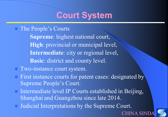# **Court System**

#### The People's Courts

**Supreme**: highest national court, **High**: provincial or municipal level, **Intermediate**: city or regional level, **Basic**: district and county level.

#### Two-instance court system.

- First instance courts for patent cases: designated by Supreme People's Court.
- Intermediate level IP Courts established in Beijing, Shanghai and Guangzhou since late 2014.
- Judicial Interpretations by the Supreme Court.

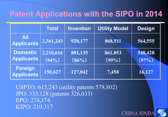#### **Patent Applications with the SIPO in 2014**

|                                      | <b>Total</b> | <b>Invention</b> | <b>Utility Model</b> | <b>Design</b> |
|--------------------------------------|--------------|------------------|----------------------|---------------|
| <b>All</b><br><b>Applicants</b>      | 2,361,243    | 928,177          | 868,511              | 564,555       |
| <b>Domestic</b><br><b>Applicants</b> | 2,210,616    | 801,135          | 861,053              | 548,428       |
|                                      | (94% )       | $(86\%)$         | (99%)                | $(97\%)$      |
| Foreign<br><b>Applicants</b>         | 150,627      | 127,042          | 7,458                | 16,127        |

USPTO: 615,243 (utility patents 578,802) JPO: 333,128 (patents 326,033) EPO: 274,174 KIPO: 210,317

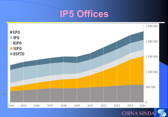





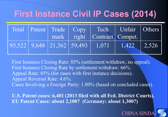# **First Instance Civil IP Cases (2014)**

|  |                                                                        |                             | Total Patent Trade Copy Tech Unfair Others |       |
|--|------------------------------------------------------------------------|-----------------------------|--------------------------------------------|-------|
|  |                                                                        | mark right Contract Compet. |                                            |       |
|  | $\vert 95,522 \vert 9,648 \vert 21,362 \vert 59,493 \vert 1,071 \vert$ |                             | 1.422                                      | 2,526 |

First Instance Closing Rate: 85% (settlement/withdraw, no appeal). First Instance Closing Rate by settlement/withdraw: 66%. Appeal Rate: 45% (for cases with first instance decisions). Appeal Reversal Rate: 4.6%. Cases Involving a Foreign Party: 1.80% (based on concluded cases).

**U.S. Patent cases: 6,401 (2013 filed with all Fed. District Courts). EU Patent Cases: about 2,100? (Germany: about 1,300?)**

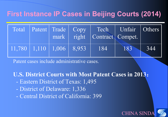#### **First Instance IP Cases in Beijing Courts (2014)**

|                                                                  |  |     | Total Patent Trade Copy Tech Unfair Others<br>mark right Contract Compet. |     |
|------------------------------------------------------------------|--|-----|---------------------------------------------------------------------------|-----|
| $\boxed{11,780}$ $\boxed{1,110}$ $\boxed{1,006}$ $\boxed{8,953}$ |  | 184 | 183                                                                       | 344 |

Patent cases include administrative cases.

**U.S. District Courts with Most Patent Cases in 2013**:

- Eastern District of Texas: 1,495
- District of Delaware: 1,336
- Central District of California: 399

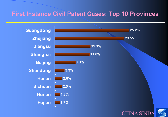#### **First Instance Civil Patent Cases: Top 10 Provinces**

**Fujian Hunan Sichuan Henan Shandong Beijing Shanghai Jiangsu Zhejiang Guangdong**





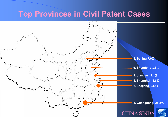#### **Top Provinces in Civil Patent Cases**

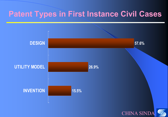#### **Patent Types in First Instance Civil Cases**

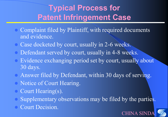#### **Typical Process for Patent Infringement Case**

- Complaint filed by Plaintiff, with required documents and evidence.
- Case docketed by court, usually in 2-6 weeks.
- Defendant served by court, usually in 4-8 weeks.
- Evidence exchanging period set by court, usually about 30 days.
- Answer filed by Defendant, within 30 days of serving.
- Notice of Court Hearing.
- Court Hearing(s).
- Supplementary observations may be filed by the parties.
- Court Decision.

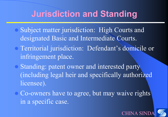## **Jurisdiction and Standing**

- Subject matter jurisdiction: High Courts and designated Basic and Intermediate Courts.
- Territorial jurisdiction: Defendant's domicile or infringement place.
- Standing: patent owner and interested party (including legal heir and specifically authorized licensee).
- Co-owners have to agree, but may waive rights in a specific case.

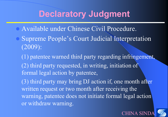#### **Declaratory Judgment**

- Available under Chinese Civil Procedure.
- Supreme People's Court Judicial Interpretation (2009):
	- (1) patentee warned third party regarding infringement, (2) third party requested, in writing, initiation of formal legal action by patentee,
	- (3) third party may bring DJ action if, one month after written request or two month after receiving the warning, patentee does not initiate formal legal action or withdraw warning.

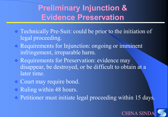#### **Preliminary Injunction & Evidence Preservation**

- Technically Pre-Suit: could be prior to the initiation of legal proceeding.
- Requirements for Injunction: ongoing or imminent infringement, irreparable harm.
- Requirements for Preservation: evidence may disappear, be destroyed, or be difficult to obtain at a later time.
- Court may require bond.
- Ruling within 48 hours.
- Petitioner must initiate legal proceeding within 15 days.

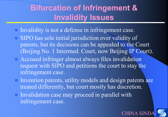## **Bifurcation of Infringement & Invalidity Issues**

- Invalidity is not a defense in infringement case.
- SIPO has sole initial jurisdiction over validity of patents, but its decisions can be appealed to the Court (Beijing No. 1 Intermed. Court, now Beijing IP Court).
- Accused infringer almost always files invalidation request with SIPO and petitions the court to stay the infringement case.
- Invention patents, utility models and design patents are treated differently, but court mostly has discretion.
- Invalidation case may proceed in parallel with infringement case.

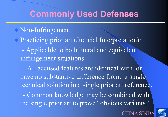#### **Commonly Used Defenses**

#### Non-Infringement.

 Practicing prior art (Judicial Interpretation): - Applicable to both literal and equivalent infringement situations.

 - All accused features are identical with, or have no substantive difference from, a single technical solution in a single prior art reference.

 - Common knowledge may be combined with the single prior art to prove "obvious variants."



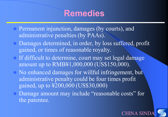## **Remedies**

- Permanent injunction, damages (by courts), and administrative penalties (by PAAs).
- Damages determined, in order, by loss suffered, profit gained, or times of reasonable royalty.
- If difficult to determine, court may set legal damage amount up to RMB¥1,000,000 (US\$150,000).
- No enhanced damages for willful infringement, but administrative penalty could be four times profit gained, up to ¥200,000 (US\$30,000)
- Damage amount may include "reasonable costs" for the patentee.



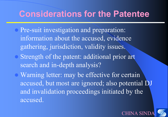#### **Considerations for the Patentee**

- Pre-suit investigation and preparation: information about the accused, evidence gathering, jurisdiction, validity issues.
- Strength of the patent: additional prior art search and in-depth analysis?
- Warning letter: may be effective for certain accused, but most are ignored; also potential DJ and invalidation proceedings initiated by the accused.

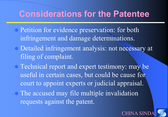#### **Considerations for the Patentee**

- Petition for evidence preservation: for both infringement and damage determinations.
- Detailed infringement analysis: not necessary at filing of complaint.
- Technical report and expert testimony: may be useful in certain cases, but could be cause for court to appoint experts or judicial appraisal. The accused may file multiple invalidation requests against the patent.

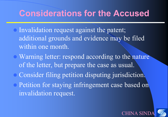## **Considerations for the Accused**

- Invalidation request against the patent; additional grounds and evidence may be filed within one month.
- Warning letter: respond according to the nature of the letter, but prepare the case as usual.
- Consider filing petition disputing jurisdiction.
- Petition for staying infringement case based on invalidation request.



**HINA SI**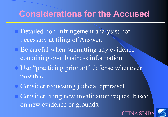#### **Considerations for the Accused**

- Detailed non-infringement analysis: not necessary at filing of Answer.
- Be careful when submitting any evidence containing own business information.
- Use "practicing prior art" defense whenever possible.
- Consider requesting judicial appraisal.
- Consider filing new invalidation request based on new evidence or grounds.

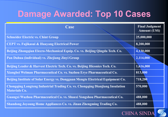## **Damage Awarded: Top 10 Cases**

| Case                                                                                                 | <b>Final Judgment</b><br><b>Amount (US\$)</b> |
|------------------------------------------------------------------------------------------------------|-----------------------------------------------|
| <b>Schneider Electric vs. Chint Group</b>                                                            | 25,000,000                                    |
| <b>CEPT vs. Fujikasui &amp; Huayang Electrical Power</b>                                             | 8,200,000                                     |
| Beijing Zhongqian Elecro-Mechanical Equip. Co. vs. Beijing Qingda Tech. Co.                          | 4,130,000                                     |
| Pan Duhua (individual) vs. Zhejiang Jinyi Group                                                      | 2,114,000                                     |
| Beijing Leader & Harvest Electric Tech. Co. vs. Beijing Hiconics Tech. Co.                           | 1,616,000                                     |
| Xiangbei Welman Pharmaceutical Co. vs. Suzhou Erye Pharmaceutical Co.                                | 813,000                                       |
| Beijing Institute of Solar Energy vs. Dongguan Mengte Electrical Equipment Co.                       | 718,200                                       |
| Chongqing Longteng Industrial Trading Co. vs. Chongqing Dianjiang Insulation<br><b>Materials Co.</b> | 570,000                                       |
| Guangxi Wuzhou Pharmaceutical Co. vs. Shaaxi Yongshou Pharmaceutical Co.                             | 488,000                                       |
| Shandong Joyoung Home Appliances Co. vs. Jinan Zhengming Trading Co.                                 | 488,000                                       |

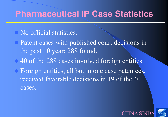#### **Pharmaceutical IP Case Statistics**

#### No official statistics.

- Patent cases with published court decisions in the past 10 year: 288 found.
- 40 of the 288 cases involved foreign entities.
- Foreign entities, all but in one case patentees, received favorable decisions in 19 of the 40 cases.



CHINA SI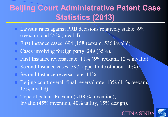## **Beijing Court Administrative Patent Case Statistics (2013)**

- Lawsuit rates against PRB decisions relatively stable: 6% (reexam) and 25% (invalid).
- First Instance cases: 694 (158 reexam, 536 invalid).
- Cases involving foreign party: 249 (35%).
- First Instance reversal rate: 11% (6% reexam, 12% invalid).
- Second Instance cases: 397 (appeal rate of about 50%).
- Second Instance reversal rate: 11%.
- Beijing court overall final reversal rate: 13% (11% reexam, 15% invalid).
- Type of patent: Reexam (~100% invention); Invalid (45% invention, 40% utility, 15% design).

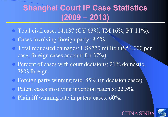## **Shanghai Court IP Case Statistics (2009 – 2013)**

- Total civil case: 14,137 (CY 63%, TM 16%, PT 11%).
- Cases involving foreign party: 8.5%.
- Total requested damages: US\$770 million (\$54,000 per case; foreign cases account for 37%).
- Percent of cases with court decisions: 21% domestic, 38% foreign.
- Foreign party winning rate: 85% (in decision cases).
- Patent cases involving invention patents: 22.5%.
- Plaintiff winning rate in patent cases: 60%.

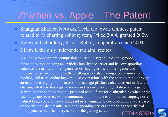# Zhizhen vs. Apple – The Patent

- Shanghai Zhizhen Network Tech. Co. owns Chinese patent related to "a chatting robot system," filed 2004, granted 2009.
- Relevant technology, Xiao-i Robot, in operation since 2004.
- Claim 1, the only independent claim, recites:

**CHINA SIND** A chatting robot system, comprising at least: a user; and a chatting robot, the chatting robot having an artificial intelligence server and its corresponding database, the artificial intelligence server having artificial intelligence and information service functions, the chatting robot also having a communication module, said user conducting various conversations with the chatting robot through an instant messaging platform or short message platform, characterized in that, the chatting robot also has a query server and its corresponding database and a game server, and the chatting robot is provided with a filter for distinguishing whether the user language received by the communication module is a formatted language or a natural language, and forwarding said user language to corresponding servers based on the distinguished results, said corresponding servers comprising the artificial intelligence server, the query server or the gaming server.

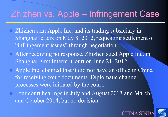## Zhizhen vs. Apple – Infringement Case

- Zhizhen sent Apple Inc. and its trading subsidiary in Shanghai letters on May 8, 2012, requesting settlement of "infringement issues" through negotiation.
- After receiving no response, Zhizhen sued Apple Inc. in Shanghai First Interm. Court on June 21, 2012.
- Apple Inc. claimed that it did not have an office in China for receiving court documents. Diplomatic channel processes were initiated by the court.
- Four court hearings in July and August 2013 and March and October 2014, but no decision.

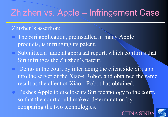# Zhizhen vs. Apple – Infringement Case

#### Zhizhen's assertion:

- The Siri application, preinstalled in many Apple products, is infringing its patent.
- Submitted a judicial appraisal report, which confirms that Siri infringes the Zhizhen's patent.
- Demo in the court by interfacing the client side Siri app into the server of the Xiao-i Robot, and obtained the same result as the client of Xiao-i Robot has obtained.
- Pushes Apple to disclose its Siri technology to the court, so that the court could make a determination by comparing the two technologies.



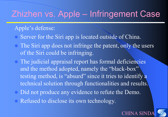# Zhizhen vs. Apple – Infringement Case

#### Apple's defense:

- Server for the Siri app is located outside of China.
- The Siri app does not infringe the patent, only the users of the Siri could be infringing.
- The judicial appraisal report has formal deficiencies and the method adopted, namely the "black-box" testing method, is "absurd" since it tries to identify a technical solution through functionalities and results.
- Did not produce any evidence to refute the Demo.
- Refused to disclose its own technology.

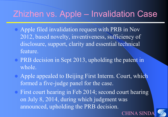# Zhizhen vs. Apple – Invalidation Case

- Apple filed invalidation request with PRB in Nov 2012, based novelty, inventiveness, sufficiency of disclosure, support, clarity and essential technical feature.
- PRB decision in Sept 2013, upholding the patent in whole.
- Apple appealed to Beijing First Interm. Court, which formed a five-judge panel for the case.
- First court hearing in Feb 2014; second court hearing on July 8, 2014, during which judgment was announced, upholding the PRB decision.



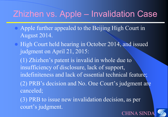# Zhizhen vs. Apple – Invalidation Case

- Apple further appealed to the Beijing High Court in August 2014.
- High Court held hearing in October 2014, and issued judgment on April 21, 2015:

(1) Zhizhen's patent is invalid in whole due to insufficiency of disclosure, lack of support, indefiniteness and lack of essential technical feature; (2) PRB's decision and No. One Court's judgment are canceled;

(3) PRB to issue new invalidation decision, as per court's judgment.